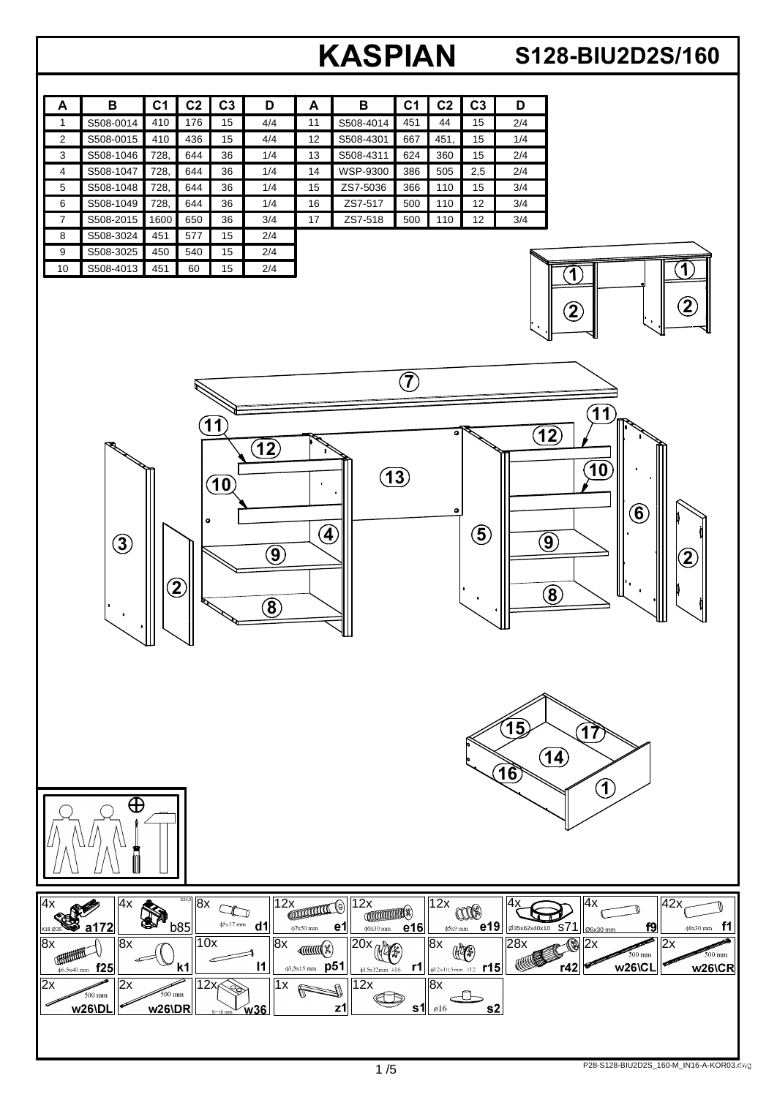## **A**

## **S128-BIU2D2S/160**

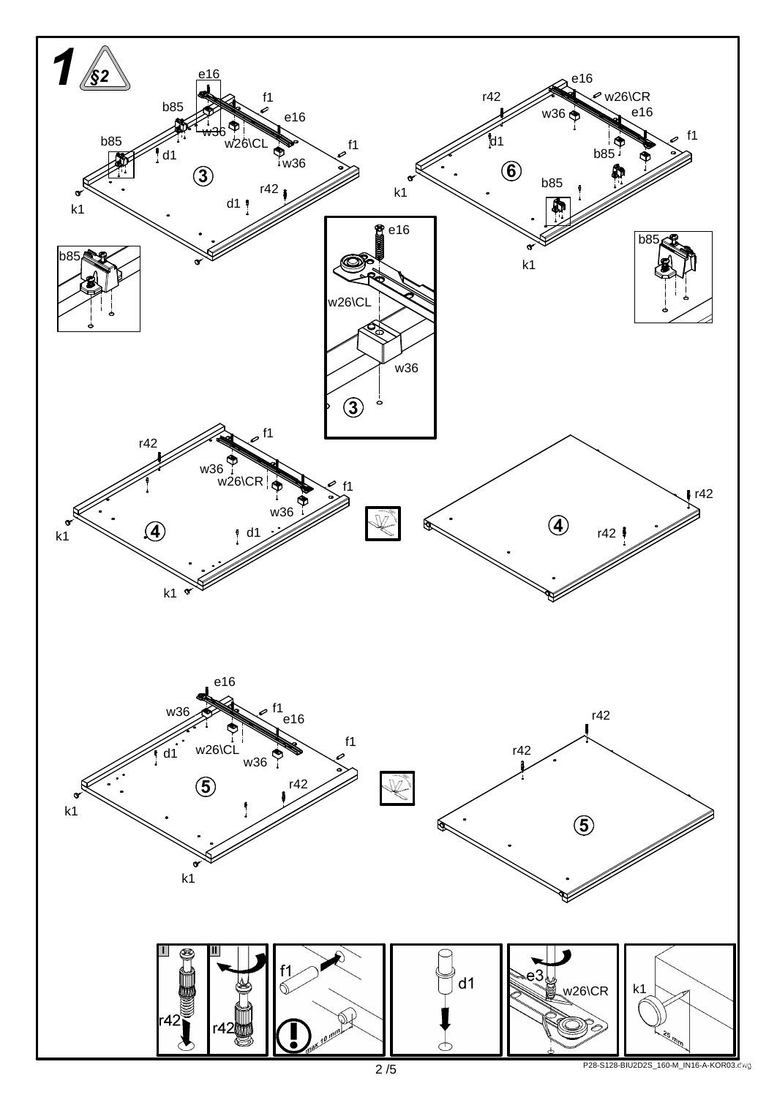

P28-S128-BIU2D2S\_160-M\_IN16-A-KOR03.dwg .idw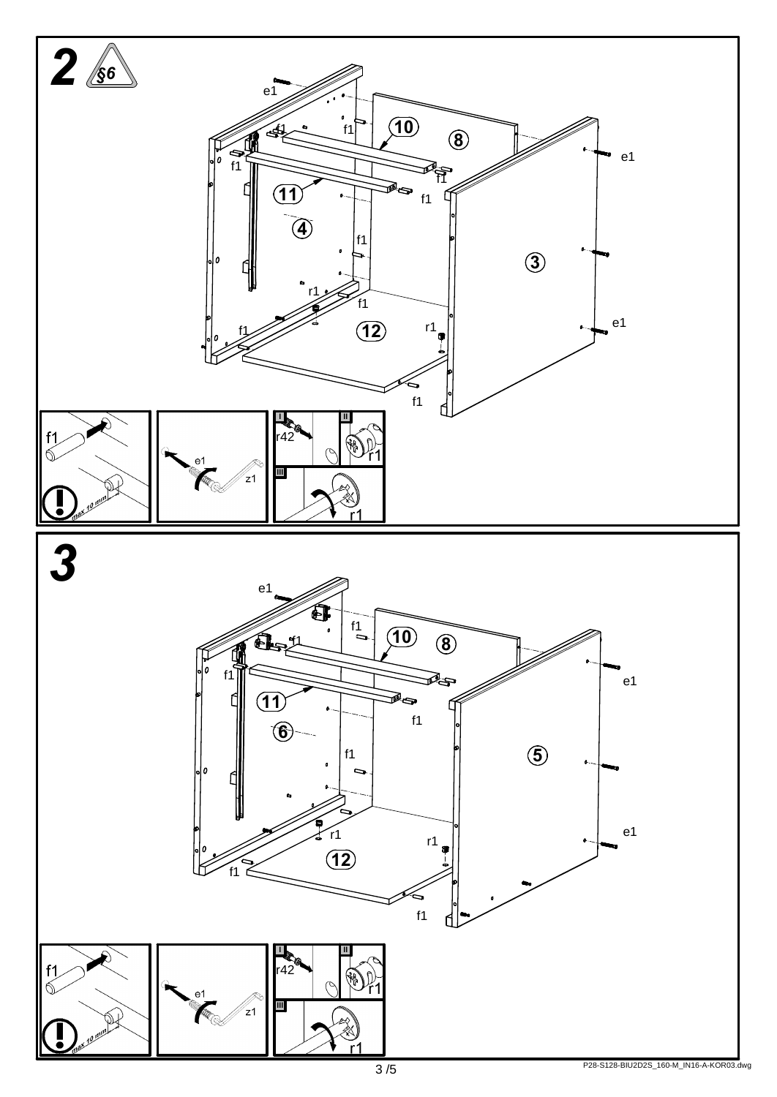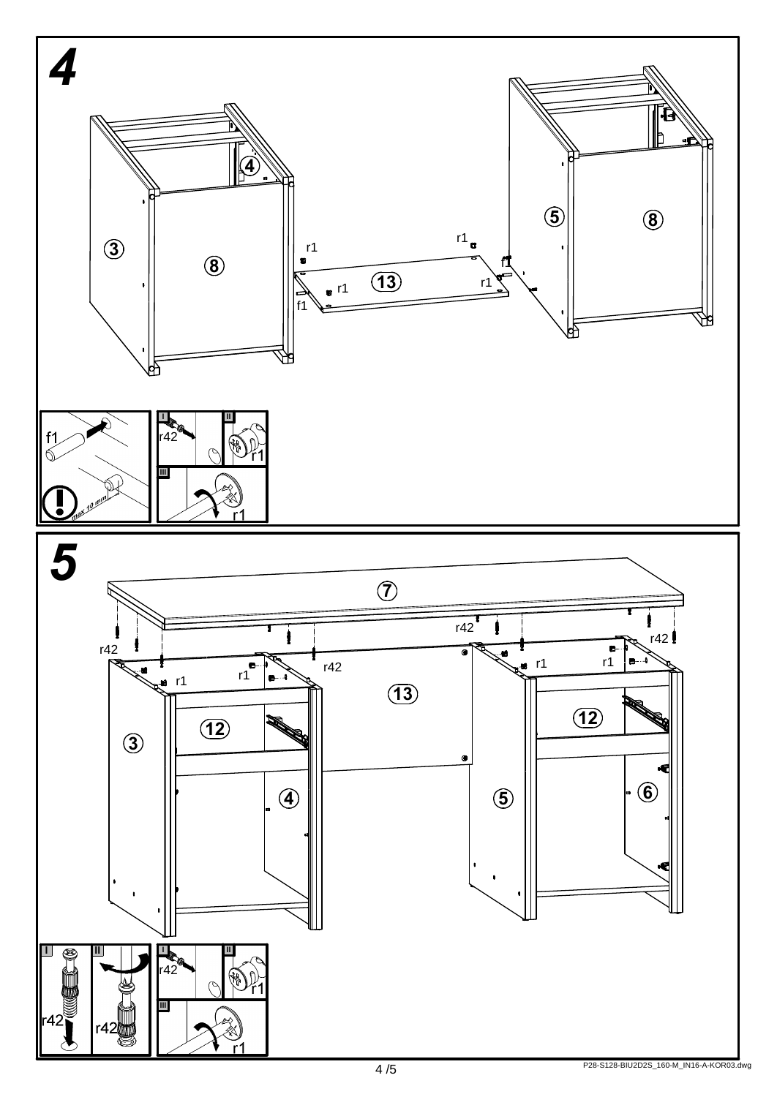